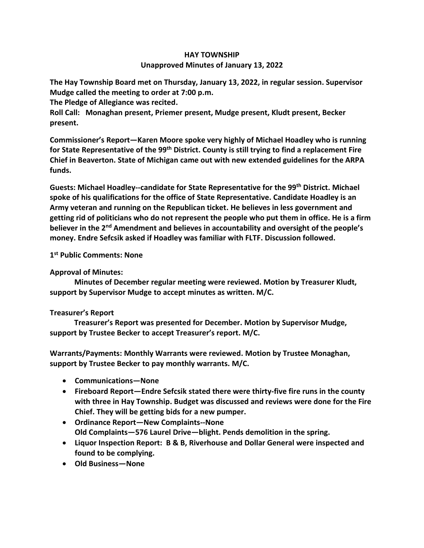## **HAY TOWNSHIP Unapproved Minutes of January 13, 2022**

**The Hay Township Board met on Thursday, January 13, 2022, in regular session. Supervisor Mudge called the meeting to order at 7:00 p.m.** 

**The Pledge of Allegiance was recited.** 

**Roll Call: Monaghan present, Priemer present, Mudge present, Kludt present, Becker present.**

**Commissioner's Report—Karen Moore spoke very highly of Michael Hoadley who is running for State Representative of the 99th District. County is still trying to find a replacement Fire Chief in Beaverton. State of Michigan came out with new extended guidelines for the ARPA funds.** 

**Guests: Michael Hoadley--candidate for State Representative for the 99th District. Michael spoke of his qualifications for the office of State Representative. Candidate Hoadley is an Army veteran and running on the Republican ticket. He believes in less government and getting rid of politicians who do not represent the people who put them in office. He is a firm believer in the 2nd Amendment and believes in accountability and oversight of the people's money. Endre Sefcsik asked if Hoadley was familiar with FLTF. Discussion followed.**

## **1 st Public Comments: None**

## **Approval of Minutes:**

 **Minutes of December regular meeting were reviewed. Motion by Treasurer Kludt, support by Supervisor Mudge to accept minutes as written. M/C.**

## **Treasurer's Report**

 **Treasurer's Report was presented for December. Motion by Supervisor Mudge, support by Trustee Becker to accept Treasurer's report. M/C.**

**Warrants/Payments: Monthly Warrants were reviewed. Motion by Trustee Monaghan, support by Trustee Becker to pay monthly warrants. M/C.**

- **Communications—None**
- **Fireboard Report—Endre Sefcsik stated there were thirty-five fire runs in the county with three in Hay Township. Budget was discussed and reviews were done for the Fire Chief. They will be getting bids for a new pumper.**
- **Ordinance Report—New Complaints--None Old Complaints—576 Laurel Drive—blight. Pends demolition in the spring.**
- **Liquor Inspection Report: B & B, Riverhouse and Dollar General were inspected and found to be complying.**
- **Old Business—None**